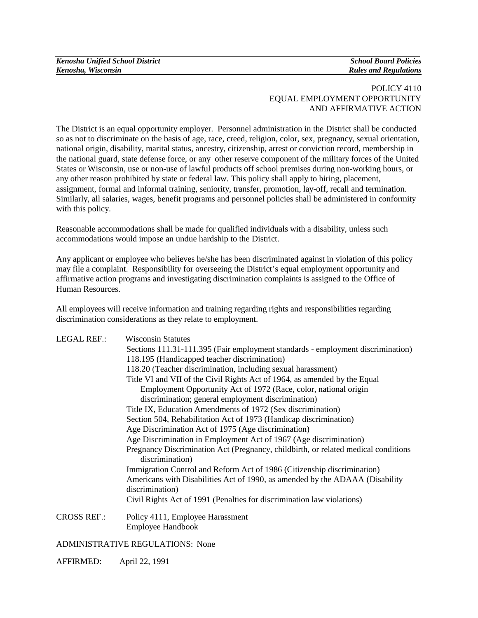# POLICY 4110 EQUAL EMPLOYMENT OPPORTUNITY AND AFFIRMATIVE ACTION

The District is an equal opportunity employer. Personnel administration in the District shall be conducted so as not to discriminate on the basis of age, race, creed, religion, color, sex, pregnancy, sexual orientation, national origin, disability, marital status, ancestry, citizenship, arrest or conviction record, membership in the national guard, state defense force, or any other reserve component of the military forces of the United States or Wisconsin, use or non-use of lawful products off school premises during non-working hours, or any other reason prohibited by state or federal law. This policy shall apply to hiring, placement, assignment, formal and informal training, seniority, transfer, promotion, lay-off, recall and termination. Similarly, all salaries, wages, benefit programs and personnel policies shall be administered in conformity with this policy.

Reasonable accommodations shall be made for qualified individuals with a disability, unless such accommodations would impose an undue hardship to the District.

Any applicant or employee who believes he/she has been discriminated against in violation of this policy may file a complaint. Responsibility for overseeing the District's equal employment opportunity and affirmative action programs and investigating discrimination complaints is assigned to the Office of Human Resources.

All employees will receive information and training regarding rights and responsibilities regarding discrimination considerations as they relate to employment.

| LEGAL REF.:        | <b>Wisconsin Statutes</b><br>Sections 111.31-111.395 (Fair employment standards - employment discrimination)<br>118.195 (Handicapped teacher discrimination)<br>118.20 (Teacher discrimination, including sexual harassment)<br>Title VI and VII of the Civil Rights Act of 1964, as amended by the Equal<br>Employment Opportunity Act of 1972 (Race, color, national origin<br>discrimination; general employment discrimination)<br>Title IX, Education Amendments of 1972 (Sex discrimination)<br>Section 504, Rehabilitation Act of 1973 (Handicap discrimination)<br>Age Discrimination Act of 1975 (Age discrimination)<br>Age Discrimination in Employment Act of 1967 (Age discrimination)<br>Pregnancy Discrimination Act (Pregnancy, childbirth, or related medical conditions<br>discrimination)<br>Immigration Control and Reform Act of 1986 (Citizenship discrimination)<br>Americans with Disabilities Act of 1990, as amended by the ADAAA (Disability<br>discrimination) |
|--------------------|--------------------------------------------------------------------------------------------------------------------------------------------------------------------------------------------------------------------------------------------------------------------------------------------------------------------------------------------------------------------------------------------------------------------------------------------------------------------------------------------------------------------------------------------------------------------------------------------------------------------------------------------------------------------------------------------------------------------------------------------------------------------------------------------------------------------------------------------------------------------------------------------------------------------------------------------------------------------------------------------|
| <b>CROSS REF.:</b> | Civil Rights Act of 1991 (Penalties for discrimination law violations)<br>Policy 4111, Employee Harassment<br><b>Employee Handbook</b>                                                                                                                                                                                                                                                                                                                                                                                                                                                                                                                                                                                                                                                                                                                                                                                                                                                     |
|                    |                                                                                                                                                                                                                                                                                                                                                                                                                                                                                                                                                                                                                                                                                                                                                                                                                                                                                                                                                                                            |

ADMINISTRATIVE REGULATIONS: None

AFFIRMED: April 22, 1991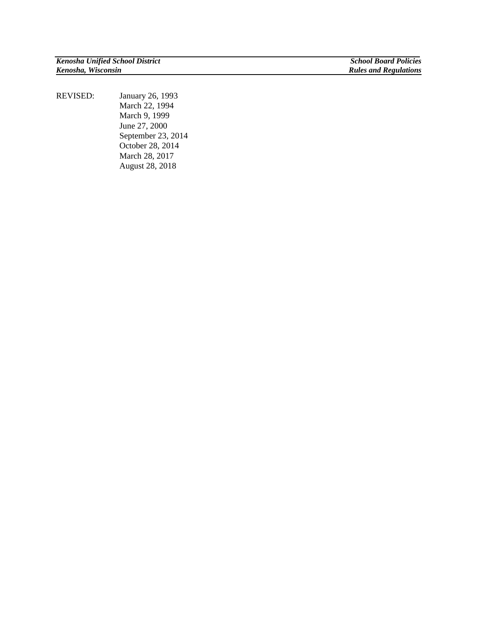REVISED: January 26, 1993 March 22, 1994 March 9, 1999 June 27, 2000 September 23, 2014 October 28, 2014 March 28, 2017 August 28, 2018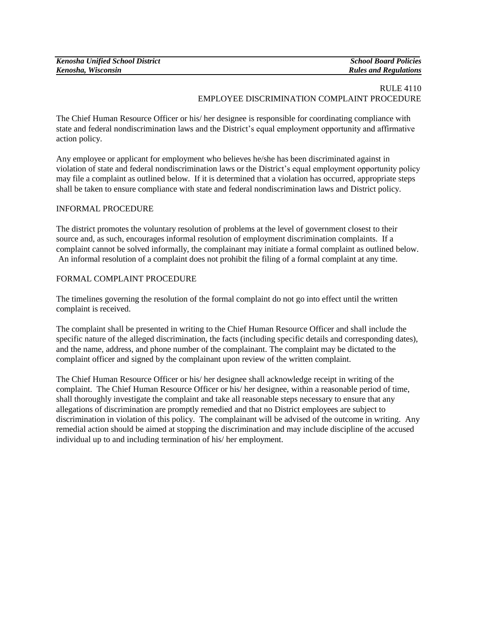| <b>Kenosha Unified School District</b> | <b>School Board Policies</b> |
|----------------------------------------|------------------------------|
| Kenosha, Wisconsin                     | <b>Rules and Regulations</b> |

# RULE 4110 EMPLOYEE DISCRIMINATION COMPLAINT PROCEDURE

The Chief Human Resource Officer or his/ her designee is responsible for coordinating compliance with state and federal nondiscrimination laws and the District's equal employment opportunity and affirmative action policy.

Any employee or applicant for employment who believes he/she has been discriminated against in violation of state and federal nondiscrimination laws or the District's equal employment opportunity policy may file a complaint as outlined below. If it is determined that a violation has occurred, appropriate steps shall be taken to ensure compliance with state and federal nondiscrimination laws and District policy.

#### INFORMAL PROCEDURE

The district promotes the voluntary resolution of problems at the level of government closest to their source and, as such, encourages informal resolution of employment discrimination complaints. If a complaint cannot be solved informally, the complainant may initiate a formal complaint as outlined below. An informal resolution of a complaint does not prohibit the filing of a formal complaint at any time.

### FORMAL COMPLAINT PROCEDURE

The timelines governing the resolution of the formal complaint do not go into effect until the written complaint is received.

The complaint shall be presented in writing to the Chief Human Resource Officer and shall include the specific nature of the alleged discrimination, the facts (including specific details and corresponding dates), and the name, address, and phone number of the complainant. The complaint may be dictated to the complaint officer and signed by the complainant upon review of the written complaint.

The Chief Human Resource Officer or his/ her designee shall acknowledge receipt in writing of the complaint. The Chief Human Resource Officer or his/ her designee, within a reasonable period of time, shall thoroughly investigate the complaint and take all reasonable steps necessary to ensure that any allegations of discrimination are promptly remedied and that no District employees are subject to discrimination in violation of this policy. The complainant will be advised of the outcome in writing. Any remedial action should be aimed at stopping the discrimination and may include discipline of the accused individual up to and including termination of his/ her employment.